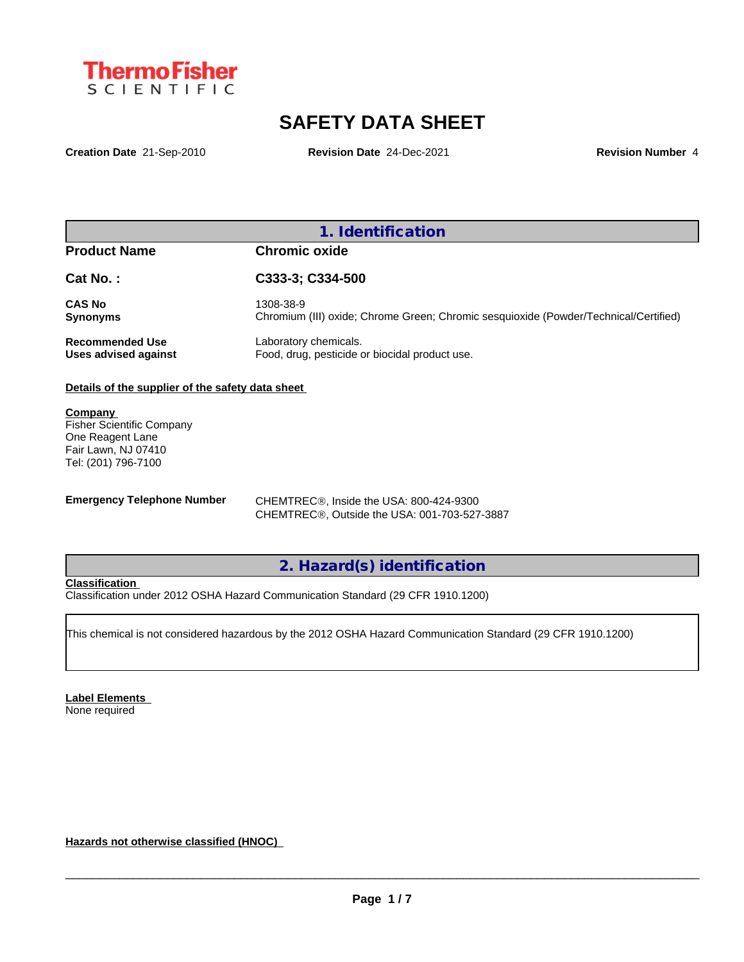

# **SAFETY DATA SHEET**

**Creation Date** 21-Sep-2010 **Revision Date** 24-Dec-2021 **Revision Number** 4

## **1. Identification**

## **Product Name Chromic oxide**

| Cat No.:               | C333-3; C334-500                                                                     |
|------------------------|--------------------------------------------------------------------------------------|
| <b>CAS No</b>          | 1308-38-9                                                                            |
| Synonyms               | Chromium (III) oxide; Chrome Green; Chromic sesquioxide (Powder/Technical/Certified) |
| <b>Recommended Use</b> | Laboratory chemicals.                                                                |
| Uses advised against   | Food, drug, pesticide or biocidal product use.                                       |

## **Details of the supplier of the safety data sheet**

**Company**  Fisher Scientific Company One Reagent Lane Fair Lawn, NJ 07410 Tel: (201) 796-7100

**Emergency Telephone Number** CHEMTREC<sup>®</sup>, Inside the USA: 800-424-9300 CHEMTREC®, Outside the USA: 001-703-527-3887

## **2. Hazard(s) identification**

## **Classification**

Classification under 2012 OSHA Hazard Communication Standard (29 CFR 1910.1200)

This chemical is not considered hazardous by the 2012 OSHA Hazard Communication Standard (29 CFR 1910.1200)

**Label Elements** None required

**Hazards not otherwise classified (HNOC)**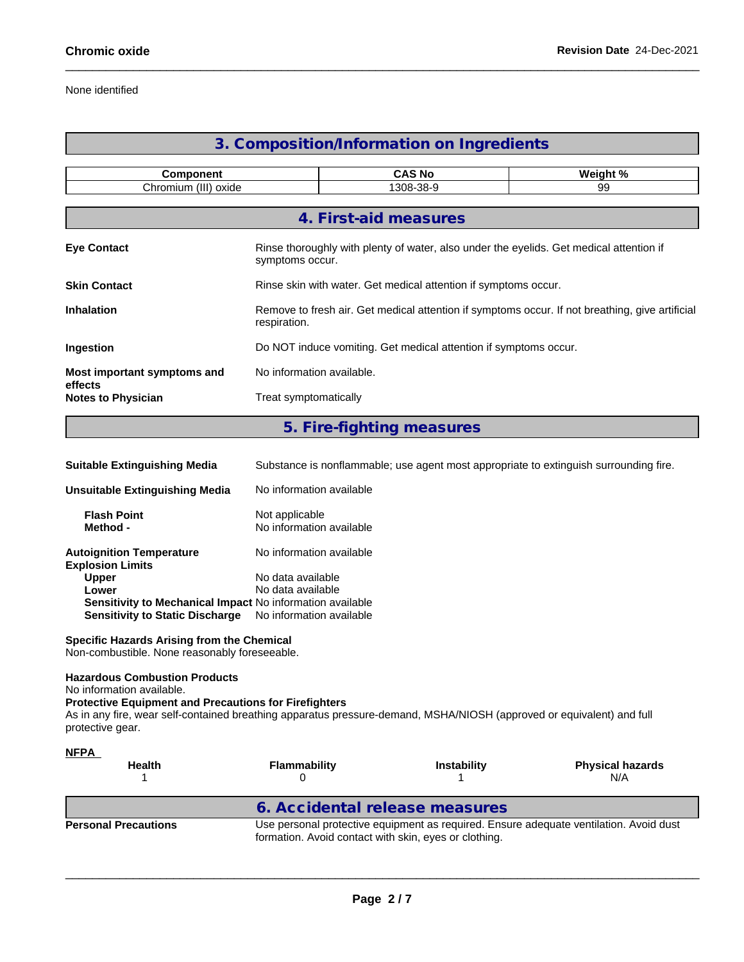## None identified

## **3. Composition/Information on Ingredients**

| <b>Component</b>                     |                                                                  | <b>CAS No</b>                                                                                              | Weight % |  |  |  |
|--------------------------------------|------------------------------------------------------------------|------------------------------------------------------------------------------------------------------------|----------|--|--|--|
|                                      | Chromium (III) oxide<br>1308-38-9                                |                                                                                                            |          |  |  |  |
|                                      |                                                                  | 4. First-aid measures                                                                                      |          |  |  |  |
| <b>Eye Contact</b>                   |                                                                  | Rinse thoroughly with plenty of water, also under the eyelids. Get medical attention if<br>symptoms occur. |          |  |  |  |
| <b>Skin Contact</b>                  |                                                                  | Rinse skin with water. Get medical attention if symptoms occur.                                            |          |  |  |  |
| <b>Inhalation</b>                    | respiration.                                                     | Remove to fresh air. Get medical attention if symptoms occur. If not breathing, give artificial            |          |  |  |  |
| Ingestion                            | Do NOT induce vomiting. Get medical attention if symptoms occur. |                                                                                                            |          |  |  |  |
| Most important symptoms and          |                                                                  | No information available.                                                                                  |          |  |  |  |
| effects<br><b>Notes to Physician</b> | Treat symptomatically                                            |                                                                                                            |          |  |  |  |
|                                      |                                                                  |                                                                                                            |          |  |  |  |

## **5. Fire-fighting measures**

| <b>Suitable Extinguishing Media</b>                                                                                                 | Substance is nonflammable; use agent most appropriate to extinguish surrounding fire. |
|-------------------------------------------------------------------------------------------------------------------------------------|---------------------------------------------------------------------------------------|
| <b>Unsuitable Extinguishing Media</b>                                                                                               | No information available                                                              |
| <b>Flash Point</b><br>Method -                                                                                                      | Not applicable<br>No information available                                            |
| <b>Autoignition Temperature</b><br><b>Explosion Limits</b>                                                                          | No information available                                                              |
| <b>Upper</b><br>Lower<br><b>Sensitivity to Mechanical Impact No information available</b><br><b>Sensitivity to Static Discharge</b> | No data available<br>No data available<br>No information available                    |
| <b>Specific Hazards Arising from the Chemical</b>                                                                                   |                                                                                       |

Non-combustible. None reasonably foreseeable.

## **Hazardous Combustion Products**

No information available.

## **Protective Equipment and Precautions for Firefighters**

As in any fire, wear self-contained breathing apparatus pressure-demand, MSHA/NIOSH (approved or equivalent) and full protective gear.

| <b>NFPA</b><br><b>Health</b> | <b>Flammability</b>                                   | <b>Instability</b> | <b>Physical hazards</b><br>N/A                                                         |
|------------------------------|-------------------------------------------------------|--------------------|----------------------------------------------------------------------------------------|
|                              | 6. Accidental release measures                        |                    |                                                                                        |
| <b>Personal Precautions</b>  | formation. Avoid contact with skin, eyes or clothing. |                    | Use personal protective equipment as required. Ensure adequate ventilation. Avoid dust |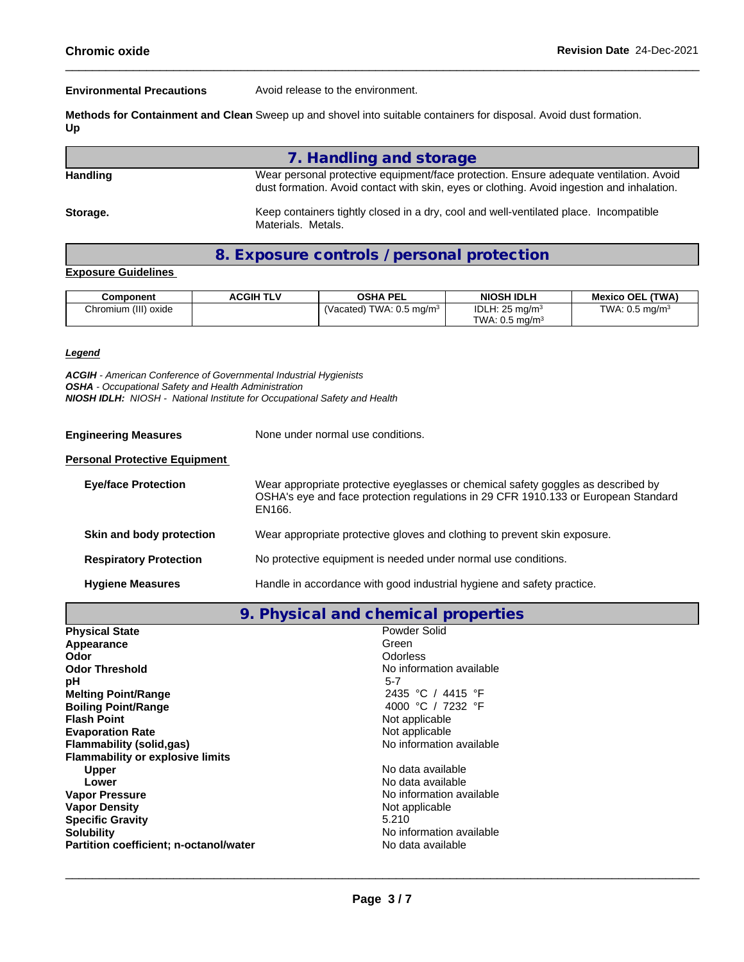**Environmental Precautions** Avoid release to the environment.

**Methods for Containment and Clean** Sweep up and shovel into suitable containers for disposal. Avoid dust formation. **Up**

**7. Handling and storage Handling** Wear personal protective equipment/face protection. Ensure adequate ventilation. Avoid dust formation. Avoid contact with skin, eyes or clothing. Avoid ingestion and inhalation. Storage. **Keep containers tightly closed in a dry, cool and well-ventilated place. Incompatible** Materials. Metals.

**8. Exposure controls / personal protection**

#### **Exposure Guidelines**

| Component            | <b>ACGIH TLV</b> | <b>OSHA PEL</b>                           | <b>NIOSH IDLH</b>            | (TWA)<br><b>Mexico OEL</b>   |
|----------------------|------------------|-------------------------------------------|------------------------------|------------------------------|
| Chromium (III) oxide |                  | $\degree$ TWA: 0.5 mg/m $^3$<br>(Vacated) | IDLH: $25 \text{ ma/m}^3$    | TWA: $0.5$ mg/m <sup>3</sup> |
|                      |                  |                                           | TWA: $0.5$ ma/m <sup>3</sup> |                              |

#### *Legend*

*ACGIH - American Conference of Governmental Industrial Hygienists OSHA - Occupational Safety and Health Administration NIOSH IDLH: NIOSH - National Institute for Occupational Safety and Health*

**Engineering Measures** None under normal use conditions.

#### **Personal Protective Equipment**

| <b>Eye/face Protection</b>    | Wear appropriate protective eyeglasses or chemical safety goggles as described by<br>OSHA's eye and face protection regulations in 29 CFR 1910.133 or European Standard<br>EN166. |
|-------------------------------|-----------------------------------------------------------------------------------------------------------------------------------------------------------------------------------|
| Skin and body protection      | Wear appropriate protective gloves and clothing to prevent skin exposure.                                                                                                         |
| <b>Respiratory Protection</b> | No protective equipment is needed under normal use conditions.                                                                                                                    |
| <b>Hygiene Measures</b>       | Handle in accordance with good industrial hygiene and safety practice.                                                                                                            |

**9. Physical and chemical properties**

| <b>Physical State</b>                   | Powder Solid             |
|-----------------------------------------|--------------------------|
| Appearance                              | Green                    |
| Odor                                    | Odorless                 |
| <b>Odor Threshold</b>                   | No information available |
| рH                                      | $5 - 7$                  |
| <b>Melting Point/Range</b>              | 2435 °C / 4415 °F        |
| <b>Boiling Point/Range</b>              | 4000 °C / 7232 °F        |
| <b>Flash Point</b>                      | Not applicable           |
| <b>Evaporation Rate</b>                 | Not applicable           |
| Flammability (solid.gas)                | No information available |
| <b>Flammability or explosive limits</b> |                          |
| <b>Upper</b>                            | No data available        |
| Lower                                   | No data available        |
| <b>Vapor Pressure</b>                   | No information available |
| <b>Vapor Density</b>                    | Not applicable           |
| <b>Specific Gravity</b>                 | 5.210                    |
| <b>Solubility</b>                       | No information available |
| Partition coefficient; n-octanol/water  | No data available        |
|                                         |                          |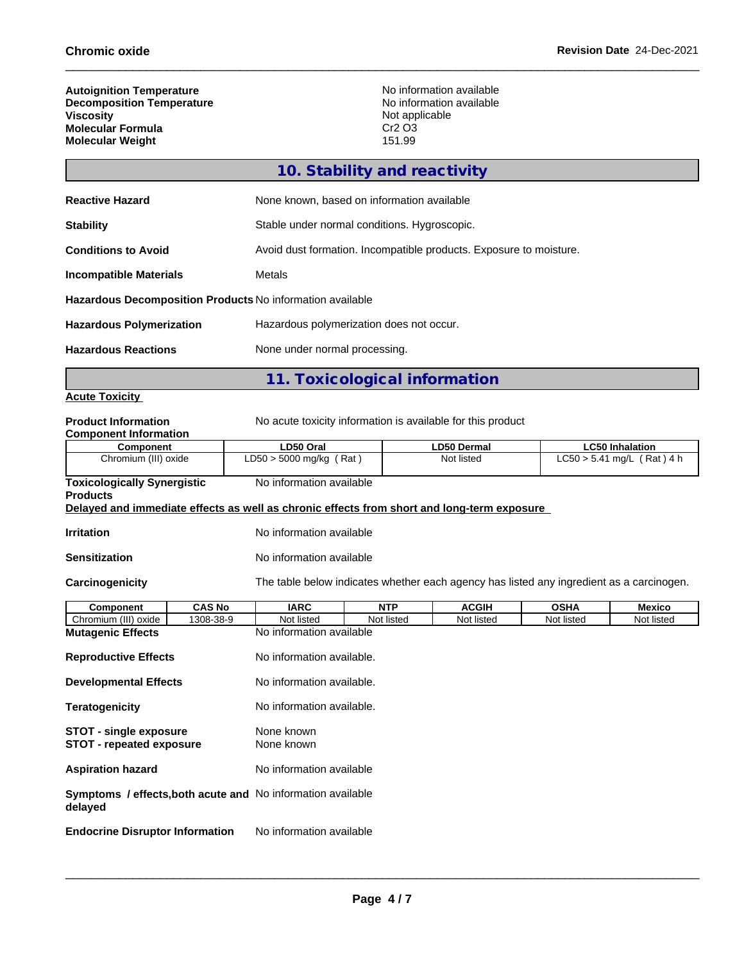г

| <b>Autoignition Temperature</b>  | No information available       |
|----------------------------------|--------------------------------|
| <b>Decomposition Temperature</b> | No information available       |
| <b>Viscositv</b>                 | Not applicable                 |
| <b>Molecular Formula</b>         | Cr <sub>2</sub> O <sub>3</sub> |
| <b>Molecular Weight</b>          | 151.99                         |

|                                                           | 11. Toxicological information                                      |
|-----------------------------------------------------------|--------------------------------------------------------------------|
| <b>Hazardous Reactions</b>                                | None under normal processing.                                      |
| <b>Hazardous Polymerization</b>                           | Hazardous polymerization does not occur.                           |
| Hazardous Decomposition Products No information available |                                                                    |
| <b>Incompatible Materials</b>                             | Metals                                                             |
| <b>Conditions to Avoid</b>                                | Avoid dust formation. Incompatible products. Exposure to moisture. |
| <b>Stability</b>                                          | Stable under normal conditions. Hygroscopic.                       |
| <b>Reactive Hazard</b>                                    | None known, based on information available                         |
|                                                           | 10. Stability and reactivity                                       |

## **Acute Toxicity**

| <b>Product Information</b><br><b>Component Information</b>                                 |                                                                                          | No acute toxicity information is available for this product |                    |             |                              |  |
|--------------------------------------------------------------------------------------------|------------------------------------------------------------------------------------------|-------------------------------------------------------------|--------------------|-------------|------------------------------|--|
| <b>Component</b>                                                                           | LD50 Oral                                                                                |                                                             | <b>LD50 Dermal</b> |             | <b>LC50 Inhalation</b>       |  |
| Chromium (III) oxide                                                                       |                                                                                          | $LD50 > 5000$ mg/kg (Rat)                                   |                    |             | $LC50 > 5.41$ mg/L (Rat) 4 h |  |
| <b>Toxicologically Synergistic</b><br><b>Products</b>                                      | No information available                                                                 |                                                             |                    |             |                              |  |
| Delayed and immediate effects as well as chronic effects from short and long-term exposure |                                                                                          |                                                             |                    |             |                              |  |
| <b>Irritation</b>                                                                          | No information available                                                                 |                                                             |                    |             |                              |  |
| <b>Sensitization</b>                                                                       | No information available                                                                 |                                                             |                    |             |                              |  |
| Carcinogenicity                                                                            | The table below indicates whether each agency has listed any ingredient as a carcinogen. |                                                             |                    |             |                              |  |
| <b>CAS No</b><br>Component                                                                 | <b>IARC</b>                                                                              | <b>NTP</b>                                                  | <b>ACGIH</b>       | <b>OSHA</b> | <b>Mexico</b>                |  |
| Chromium (III) oxide<br>1308-38-9                                                          | Not listed                                                                               | Not listed                                                  | Not listed         | Not listed  | Not listed                   |  |
| <b>Mutagenic Effects</b>                                                                   | No information available                                                                 |                                                             |                    |             |                              |  |
| <b>Reproductive Effects</b>                                                                | No information available.                                                                |                                                             |                    |             |                              |  |
| <b>Developmental Effects</b>                                                               | No information available.                                                                |                                                             |                    |             |                              |  |
| <b>Teratogenicity</b>                                                                      | No information available.                                                                |                                                             |                    |             |                              |  |
| <b>STOT - single exposure</b><br><b>STOT - repeated exposure</b>                           | None known<br>None known                                                                 |                                                             |                    |             |                              |  |
| <b>Aspiration hazard</b>                                                                   | No information available                                                                 |                                                             |                    |             |                              |  |
| Symptoms / effects, both acute and No information available<br>delayed                     |                                                                                          |                                                             |                    |             |                              |  |
| <b>Endocrine Disruptor Information</b>                                                     | No information available                                                                 |                                                             |                    |             |                              |  |
|                                                                                            |                                                                                          |                                                             |                    |             |                              |  |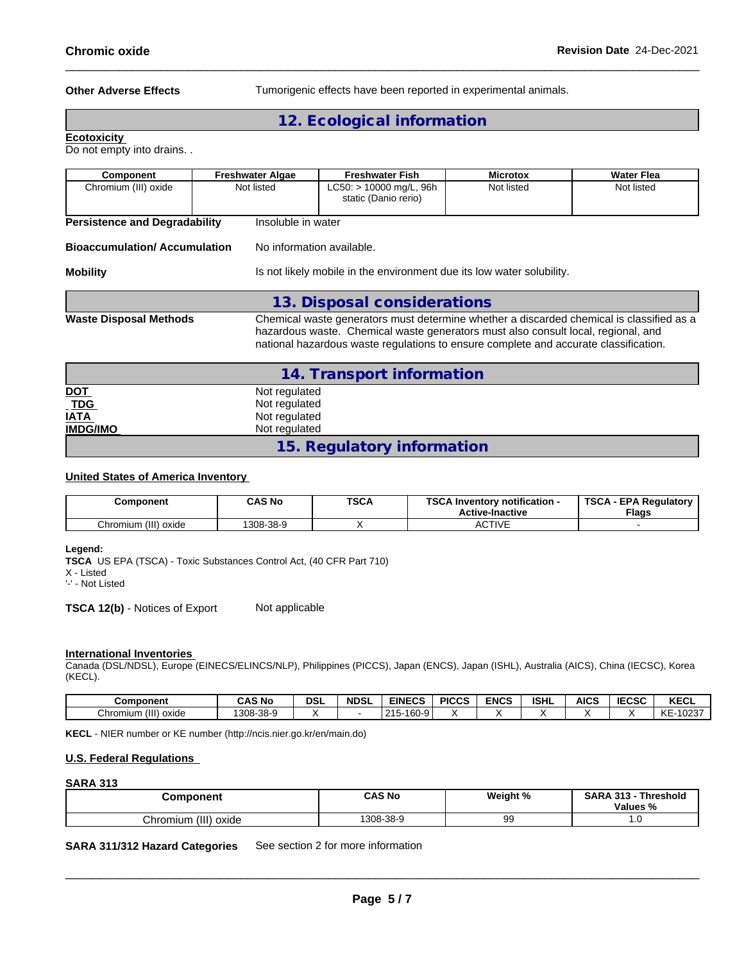**Other Adverse Effects** Tumorigenic effects have been reported in experimental animals.

## **12. Ecological information**

**Ecotoxicity** 

Do not empty into drains. .

| Component                            | <b>Freshwater Algae</b> | <b>Freshwater Fish</b>                                                                                                                                                                                                                                                | <b>Microtox</b> | Water Flea |  |
|--------------------------------------|-------------------------|-----------------------------------------------------------------------------------------------------------------------------------------------------------------------------------------------------------------------------------------------------------------------|-----------------|------------|--|
| Chromium (III) oxide                 | Not listed              | $LC50:$ > 10000 mg/L, 96h<br>static (Danio rerio)                                                                                                                                                                                                                     | Not listed      | Not listed |  |
| <b>Persistence and Degradability</b> | Insoluble in water      |                                                                                                                                                                                                                                                                       |                 |            |  |
| <b>Bioaccumulation/Accumulation</b>  |                         | No information available.                                                                                                                                                                                                                                             |                 |            |  |
| <b>Mobility</b>                      |                         | Is not likely mobile in the environment due its low water solubility.                                                                                                                                                                                                 |                 |            |  |
|                                      |                         | 13. Disposal considerations                                                                                                                                                                                                                                           |                 |            |  |
| <b>Waste Disposal Methods</b>        |                         | Chemical waste generators must determine whether a discarded chemical is classified as a<br>hazardous waste. Chemical waste generators must also consult local, regional, and<br>national hazardous waste regulations to ensure complete and accurate classification. |                 |            |  |
|                                      |                         | 14. Transport information                                                                                                                                                                                                                                             |                 |            |  |
| <b>DOT</b>                           | Not regulated           |                                                                                                                                                                                                                                                                       |                 |            |  |
| <b>TDG</b>                           | Not regulated           |                                                                                                                                                                                                                                                                       |                 |            |  |
| <b>IATA</b>                          | Not regulated           |                                                                                                                                                                                                                                                                       |                 |            |  |
| <b>IMDG/IMO</b>                      |                         | Not regulated                                                                                                                                                                                                                                                         |                 |            |  |

### **United States of America Inventory**

| Component                  | <b>CAS No</b> | <b>TSCA</b> | TOO A I<br><b>∖ Inventorv notification -</b><br>שפ<br><b>Active-Inactive</b> | <b>TSCA</b><br>. - EPA Requlatory ا<br><b>Flags</b> |
|----------------------------|---------------|-------------|------------------------------------------------------------------------------|-----------------------------------------------------|
| (III)<br>Chromium<br>oxide | 308-38-9      |             | ACTIVE                                                                       |                                                     |

**15. Regulatory information**

**Legend:**

**TSCA** US EPA (TSCA) - Toxic Substances Control Act, (40 CFR Part 710)

X - Listed

'-' - Not Listed

**TSCA 12(b)** - Notices of Export Not applicable

#### **International Inventories**

Canada (DSL/NDSL), Europe (EINECS/ELINCS/NLP), Philippines (PICCS), Japan (ENCS), Japan (ISHL), Australia (AICS), China (IECSC), Korea (KECL).

| Component                       | <b>CAS No</b>                 | DSI | <b>NDSL</b> | <b>EINECS</b>                  | <b>PICCS</b> | <b>ENCS</b> | <b>ISHL</b> | <b>AICS</b> | 500 <sub>2</sub><br>טסע- | <b>KECL</b>            |
|---------------------------------|-------------------------------|-----|-------------|--------------------------------|--------------|-------------|-------------|-------------|--------------------------|------------------------|
| (III)<br>~<br>oxide<br>Chromium | 1200<br>$-38-9$<br><b>JUO</b> |     |             | $-160$<br>24E<br>)-9<br>ں ہے . |              |             |             |             |                          | 1/T<br>$-10237$<br>-n- |

**KECL** - NIER number or KE number (http://ncis.nier.go.kr/en/main.do)

### **U.S. Federal Regulations**

## **SARA 313**

| <b>Component</b>           | <b>CAS No</b> | Weight %<br>- 70 | SARA<br>242<br>Threshold<br>.<br>Values<br>ە⁄" |  |
|----------------------------|---------------|------------------|------------------------------------------------|--|
| (III)<br>Chromium<br>oxide | 1308-38-9     | 99               |                                                |  |

**SARA 311/312 Hazard Categories** See section 2 for more information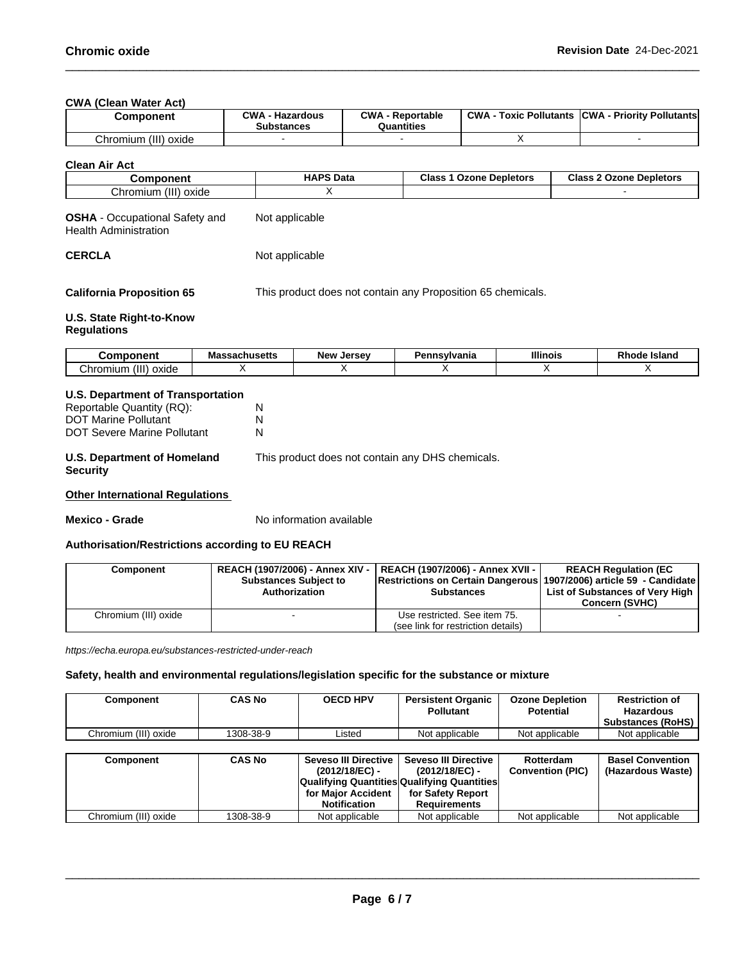**CWA** (Clean Water Act)

|          | Component      | $\sim$ MA<br><b>Hazardous</b><br>Substances | CWA<br>Reportable<br>Quantities | <b>CWA</b><br>: Pollutants<br>Toxic | <b>ICWA</b><br>- Priority Pollutants |
|----------|----------------|---------------------------------------------|---------------------------------|-------------------------------------|--------------------------------------|
| Chromium | (III)<br>oxide |                                             |                                 |                                     |                                      |

**Clean Air Act**

| --------                                   | <b>HAPS Data</b> | <b>Class</b><br>: Depletors<br>.<br>Ozone | Class<br>----<br>: Depletors<br>Ozone |
|--------------------------------------------|------------------|-------------------------------------------|---------------------------------------|
| $\sqrt{111}$<br>Chromium<br>oxide<br>,,,,, |                  |                                           |                                       |

| <b>OSHA</b> - Occupational Safety and | Not applicable |
|---------------------------------------|----------------|
| <b>Health Administration</b>          |                |

**CERCLA** Not applicable

**California Proposition 65** This product does not contain any Proposition 65 chemicals.

## **U.S. State Right-to-Know**

## **Regulations**

| .:omnoner                                 | Massachusetts | <b>New</b><br>. Jersev | nsvivania<br>еннэу | <b>Illinois</b> | nц<br><b>Island</b><br><b>Rnoge</b> |
|-------------------------------------------|---------------|------------------------|--------------------|-----------------|-------------------------------------|
| (III)<br>'hr<br>oxide<br>ำmiun⊤.<br>. JII |               |                        |                    |                 |                                     |

### **U.S. Department of Transportation**

| Reportable Quantity (RQ):                      | N                                                |
|------------------------------------------------|--------------------------------------------------|
| <b>DOT Marine Pollutant</b>                    | N                                                |
| DOT Severe Marine Pollutant                    | N                                                |
| U.S. Department of Homeland<br><b>Security</b> | This product does not contain any DHS chemicals. |

## **Other International Regulations**

**Mexico - Grade** No information available

## **Authorisation/Restrictions according to EU REACH**

| Component            | <b>Substances Subject to</b><br>Authorization | REACH (1907/2006) - Annex XIV -   REACH (1907/2006) - Annex XVII -  <br> Restrictions on Certain Dangerous 1907/2006) article 59 - Candidate<br><b>Substances</b> | <b>REACH Regulation (EC</b><br>List of Substances of Very High |
|----------------------|-----------------------------------------------|-------------------------------------------------------------------------------------------------------------------------------------------------------------------|----------------------------------------------------------------|
|                      |                                               |                                                                                                                                                                   | <b>Concern (SVHC)</b>                                          |
| Chromium (III) oxide |                                               | Use restricted. See item 75.                                                                                                                                      |                                                                |
|                      |                                               | (see link for restriction details)                                                                                                                                |                                                                |

*https://echa.europa.eu/substances-restricted-under-reach*

## **Safety, health and environmental regulations/legislation specific for the substance or mixture**

| Component            | CAS No    | <b>OECD HPV</b> | <b>Persistent Organic</b><br><b>Pollutant</b> | <b>Ozone Depletion</b><br><b>Potential</b> | <b>Restriction of</b><br><b>Hazardous</b><br><b>Substances (RoHS)</b> |
|----------------------|-----------|-----------------|-----------------------------------------------|--------------------------------------------|-----------------------------------------------------------------------|
| Chromium (III) oxide | 1308-38-9 | Listed          | Not applicable                                | Not applicable                             | Not applicable                                                        |

| Component            | <b>CAS No</b> | Seveso III Directive I<br>(2012/18/EC) -           | Seveso III Directive<br>(2012/18/EC) - | Rotterdam<br><b>Convention (PIC)</b> | <b>Basel Convention</b><br>(Hazardous Waste) |
|----------------------|---------------|----------------------------------------------------|----------------------------------------|--------------------------------------|----------------------------------------------|
|                      |               | <b>Qualifying Quantities Qualifying Quantities</b> |                                        |                                      |                                              |
|                      |               | for Maior Accident<br><b>Notification</b>          | for Safety Report<br>Requirements      |                                      |                                              |
| Chromium (III) oxide | 1308-38-9     | Not applicable                                     | Not applicable                         | Not applicable                       | Not applicable                               |